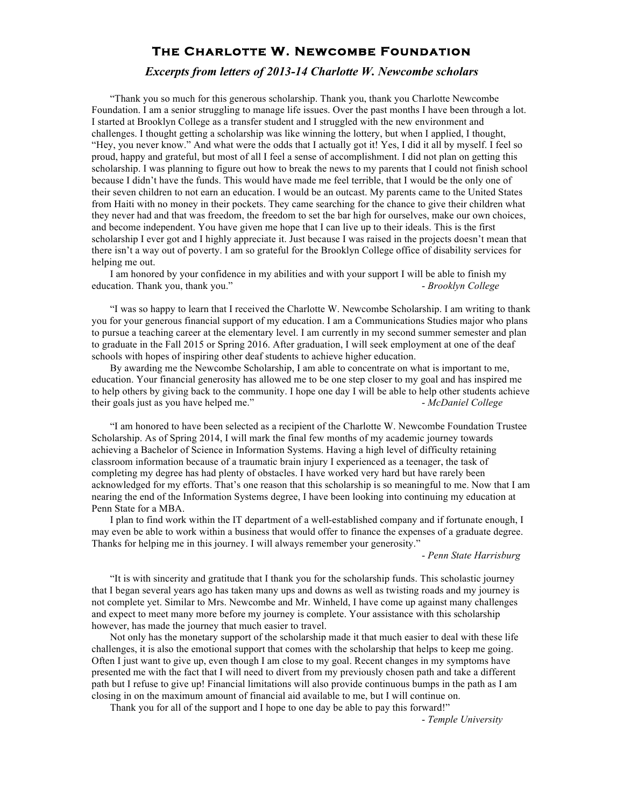## **The Charlotte W. Newcombe Foundation**

## *Excerpts from letters of 2013-14 Charlotte W. Newcombe scholars*

"Thank you so much for this generous scholarship. Thank you, thank you Charlotte Newcombe Foundation. I am a senior struggling to manage life issues. Over the past months I have been through a lot. I started at Brooklyn College as a transfer student and I struggled with the new environment and challenges. I thought getting a scholarship was like winning the lottery, but when I applied, I thought, "Hey, you never know." And what were the odds that I actually got it! Yes, I did it all by myself. I feel so proud, happy and grateful, but most of all I feel a sense of accomplishment. I did not plan on getting this scholarship. I was planning to figure out how to break the news to my parents that I could not finish school because I didn't have the funds. This would have made me feel terrible, that I would be the only one of their seven children to not earn an education. I would be an outcast. My parents came to the United States from Haiti with no money in their pockets. They came searching for the chance to give their children what they never had and that was freedom, the freedom to set the bar high for ourselves, make our own choices, and become independent. You have given me hope that I can live up to their ideals. This is the first scholarship I ever got and I highly appreciate it. Just because I was raised in the projects doesn't mean that there isn't a way out of poverty. I am so grateful for the Brooklyn College office of disability services for helping me out.

I am honored by your confidence in my abilities and with your support I will be able to finish my education. Thank you, thank you."  $\qquad \qquad \qquad$  *Brooklyn College* 

"I was so happy to learn that I received the Charlotte W. Newcombe Scholarship. I am writing to thank you for your generous financial support of my education. I am a Communications Studies major who plans to pursue a teaching career at the elementary level. I am currently in my second summer semester and plan to graduate in the Fall 2015 or Spring 2016. After graduation, I will seek employment at one of the deaf schools with hopes of inspiring other deaf students to achieve higher education.

By awarding me the Newcombe Scholarship, I am able to concentrate on what is important to me, education. Your financial generosity has allowed me to be one step closer to my goal and has inspired me to help others by giving back to the community. I hope one day I will be able to help other students achieve their goals just as you have helped me." - *McDaniel College*

"I am honored to have been selected as a recipient of the Charlotte W. Newcombe Foundation Trustee Scholarship. As of Spring 2014, I will mark the final few months of my academic journey towards achieving a Bachelor of Science in Information Systems. Having a high level of difficulty retaining classroom information because of a traumatic brain injury I experienced as a teenager, the task of completing my degree has had plenty of obstacles. I have worked very hard but have rarely been acknowledged for my efforts. That's one reason that this scholarship is so meaningful to me. Now that I am nearing the end of the Information Systems degree, I have been looking into continuing my education at Penn State for a MBA.

I plan to find work within the IT department of a well-established company and if fortunate enough, I may even be able to work within a business that would offer to finance the expenses of a graduate degree. Thanks for helping me in this journey. I will always remember your generosity."

## - *Penn State Harrisburg*

"It is with sincerity and gratitude that I thank you for the scholarship funds. This scholastic journey that I began several years ago has taken many ups and downs as well as twisting roads and my journey is not complete yet. Similar to Mrs. Newcombe and Mr. Winheld, I have come up against many challenges and expect to meet many more before my journey is complete. Your assistance with this scholarship however, has made the journey that much easier to travel.

Not only has the monetary support of the scholarship made it that much easier to deal with these life challenges, it is also the emotional support that comes with the scholarship that helps to keep me going. Often I just want to give up, even though I am close to my goal. Recent changes in my symptoms have presented me with the fact that I will need to divert from my previously chosen path and take a different path but I refuse to give up! Financial limitations will also provide continuous bumps in the path as I am closing in on the maximum amount of financial aid available to me, but I will continue on.

Thank you for all of the support and I hope to one day be able to pay this forward!"

- *Temple University*